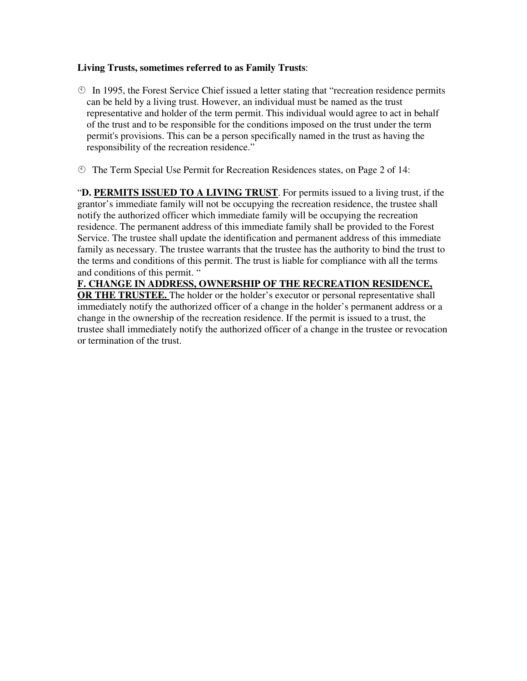#### **Living Trusts, sometimes referred to as Family Trusts**:

- $\circled{1}$  In 1995, the Forest Service Chief issued a letter stating that "recreation residence permits" can be held by a living trust. However, an individual must be named as the trust representative and holder of the term permit. This individual would agree to act in behalf of the trust and to be responsible for the conditions imposed on the trust under the term permit's provisions. This can be a person specifically named in the trust as having the responsibility of the recreation residence."
- The Term Special Use Permit for Recreation Residences states, on Page 2 of 14:

"**D. PERMITS ISSUED TO A LIVING TRUST**. For permits issued to a living trust, if the grantor's immediate family will not be occupying the recreation residence, the trustee shall notify the authorized officer which immediate family will be occupying the recreation residence. The permanent address of this immediate family shall be provided to the Forest Service. The trustee shall update the identification and permanent address of this immediate family as necessary. The trustee warrants that the trustee has the authority to bind the trust to the terms and conditions of this permit. The trust is liable for compliance with all the terms and conditions of this permit. "

### **F. CHANGE IN ADDRESS, OWNERSHIP OF THE RECREATION RESIDENCE,**

**OR THE TRUSTEE.** The holder or the holder's executor or personal representative shall immediately notify the authorized officer of a change in the holder's permanent address or a change in the ownership of the recreation residence. If the permit is issued to a trust, the trustee shall immediately notify the authorized officer of a change in the trustee or revocation or termination of the trust.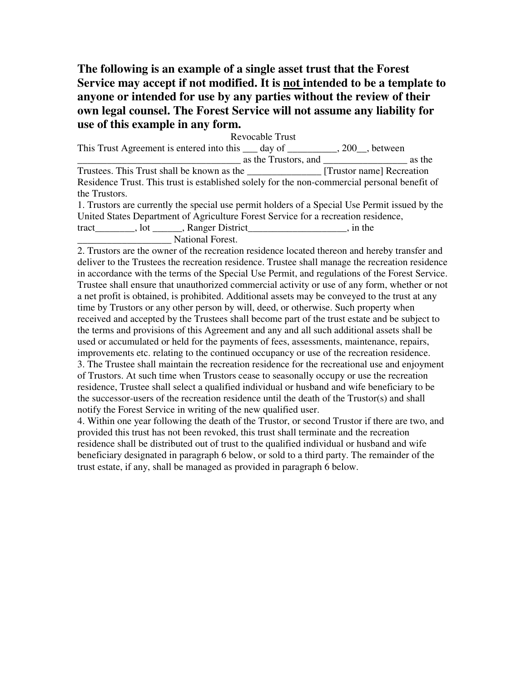## **The following is an example of a single asset trust that the Forest Service may accept if not modified. It is not intended to be a template to anyone or intended for use by any parties without the review of their own legal counsel. The Forest Service will not assume any liability for use of this example in any form.**

Revocable Trust This Trust Agreement is entered into this  $\_\_\_$  day of  $\_\_\_\_\_$ , 200, between  $\frac{1}{\sqrt{2}}$  as the Trustors, and  $\frac{1}{\sqrt{2}}$  as the Trustees. This Trust shall be known as the \_\_\_\_\_\_\_\_\_\_\_\_\_\_\_ [Trustor name] Recreation Residence Trust. This trust is established solely for the non-commercial personal benefit of the Trustors.

1. Trustors are currently the special use permit holders of a Special Use Permit issued by the United States Department of Agriculture Forest Service for a recreation residence, tract tract the set of the set of the set of the set of the set of the set of the set of the set of the set of the set of the set of the set of the set of the set of the set of the set of the set of the set of the set of t \_\_\_\_\_\_\_\_\_\_\_\_\_\_\_\_\_\_\_ National Forest.

2. Trustors are the owner of the recreation residence located thereon and hereby transfer and deliver to the Trustees the recreation residence. Trustee shall manage the recreation residence in accordance with the terms of the Special Use Permit, and regulations of the Forest Service. Trustee shall ensure that unauthorized commercial activity or use of any form, whether or not a net profit is obtained, is prohibited. Additional assets may be conveyed to the trust at any time by Trustors or any other person by will, deed, or otherwise. Such property when received and accepted by the Trustees shall become part of the trust estate and be subject to the terms and provisions of this Agreement and any and all such additional assets shall be used or accumulated or held for the payments of fees, assessments, maintenance, repairs, improvements etc. relating to the continued occupancy or use of the recreation residence. 3. The Trustee shall maintain the recreation residence for the recreational use and enjoyment of Trustors. At such time when Trustors cease to seasonally occupy or use the recreation residence, Trustee shall select a qualified individual or husband and wife beneficiary to be the successor-users of the recreation residence until the death of the Trustor(s) and shall notify the Forest Service in writing of the new qualified user.

4. Within one year following the death of the Trustor, or second Trustor if there are two, and provided this trust has not been revoked, this trust shall terminate and the recreation residence shall be distributed out of trust to the qualified individual or husband and wife beneficiary designated in paragraph 6 below, or sold to a third party. The remainder of the trust estate, if any, shall be managed as provided in paragraph 6 below.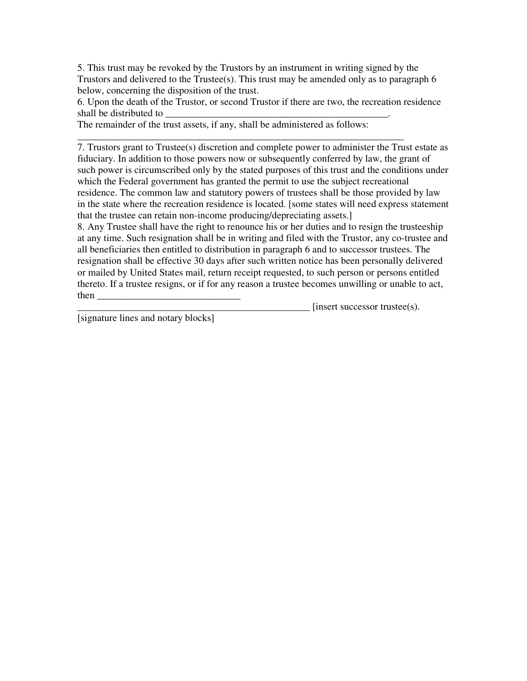5. This trust may be revoked by the Trustors by an instrument in writing signed by the Trustors and delivered to the Trustee(s). This trust may be amended only as to paragraph 6 below, concerning the disposition of the trust.

6. Upon the death of the Trustor, or second Trustor if there are two, the recreation residence shall be distributed to

The remainder of the trust assets, if any, shall be administered as follows:

\_\_\_\_\_\_\_\_\_\_\_\_\_\_\_\_\_\_\_\_\_\_\_\_\_\_\_\_\_\_\_\_\_\_\_\_\_\_\_\_\_\_\_\_\_\_\_\_\_\_\_\_\_\_\_\_\_\_\_\_\_\_\_\_\_\_

7. Trustors grant to Trustee(s) discretion and complete power to administer the Trust estate as fiduciary. In addition to those powers now or subsequently conferred by law, the grant of such power is circumscribed only by the stated purposes of this trust and the conditions under which the Federal government has granted the permit to use the subject recreational residence. The common law and statutory powers of trustees shall be those provided by law in the state where the recreation residence is located. [some states will need express statement that the trustee can retain non-income producing/depreciating assets.]

8. Any Trustee shall have the right to renounce his or her duties and to resign the trusteeship at any time. Such resignation shall be in writing and filed with the Trustor, any co-trustee and all beneficiaries then entitled to distribution in paragraph 6 and to successor trustees. The resignation shall be effective 30 days after such written notice has been personally delivered or mailed by United States mail, return receipt requested, to such person or persons entitled thereto. If a trustee resigns, or if for any reason a trustee becomes unwilling or unable to act, then  $\Box$ 

 $[insert successor trusted(s)]$ 

[signature lines and notary blocks]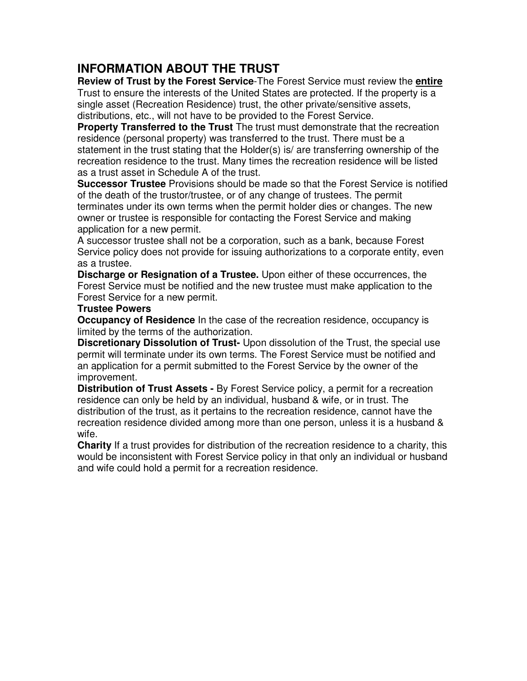# **INFORMATION ABOUT THE TRUST**

**Review of Trust by the Forest Service**-The Forest Service must review the **entire**  Trust to ensure the interests of the United States are protected. If the property is a single asset (Recreation Residence) trust, the other private/sensitive assets, distributions, etc., will not have to be provided to the Forest Service.

**Property Transferred to the Trust** The trust must demonstrate that the recreation residence (personal property) was transferred to the trust. There must be a statement in the trust stating that the Holder(s) is/ are transferring ownership of the recreation residence to the trust. Many times the recreation residence will be listed as a trust asset in Schedule A of the trust.

**Successor Trustee** Provisions should be made so that the Forest Service is notified of the death of the trustor/trustee, or of any change of trustees. The permit terminates under its own terms when the permit holder dies or changes. The new owner or trustee is responsible for contacting the Forest Service and making application for a new permit.

A successor trustee shall not be a corporation, such as a bank, because Forest Service policy does not provide for issuing authorizations to a corporate entity, even as a trustee.

**Discharge or Resignation of a Trustee.** Upon either of these occurrences, the Forest Service must be notified and the new trustee must make application to the Forest Service for a new permit.

### **Trustee Powers**

**Occupancy of Residence** In the case of the recreation residence, occupancy is limited by the terms of the authorization.

**Discretionary Dissolution of Trust-** Upon dissolution of the Trust, the special use permit will terminate under its own terms. The Forest Service must be notified and an application for a permit submitted to the Forest Service by the owner of the improvement.

**Distribution of Trust Assets -** By Forest Service policy, a permit for a recreation residence can only be held by an individual, husband & wife, or in trust. The distribution of the trust, as it pertains to the recreation residence, cannot have the recreation residence divided among more than one person, unless it is a husband & wife.

**Charity** If a trust provides for distribution of the recreation residence to a charity, this would be inconsistent with Forest Service policy in that only an individual or husband and wife could hold a permit for a recreation residence.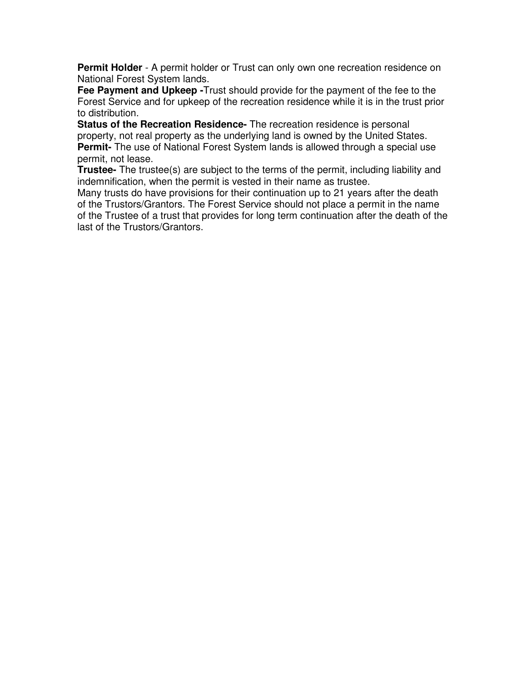**Permit Holder** - A permit holder or Trust can only own one recreation residence on National Forest System lands.

**Fee Payment and Upkeep -**Trust should provide for the payment of the fee to the Forest Service and for upkeep of the recreation residence while it is in the trust prior to distribution.

**Status of the Recreation Residence-** The recreation residence is personal property, not real property as the underlying land is owned by the United States. **Permit-** The use of National Forest System lands is allowed through a special use permit, not lease.

**Trustee-** The trustee(s) are subject to the terms of the permit, including liability and indemnification, when the permit is vested in their name as trustee.

Many trusts do have provisions for their continuation up to 21 years after the death of the Trustors/Grantors. The Forest Service should not place a permit in the name of the Trustee of a trust that provides for long term continuation after the death of the last of the Trustors/Grantors.